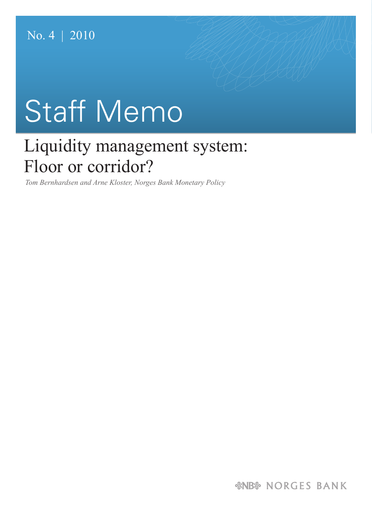# Staff Memo

# Liquidity management system: Floor or corridor?

*Tom Bernhardsen and Arne Kloster, Norges Bank Monetary Policy*

*&NB& NORGES BANK*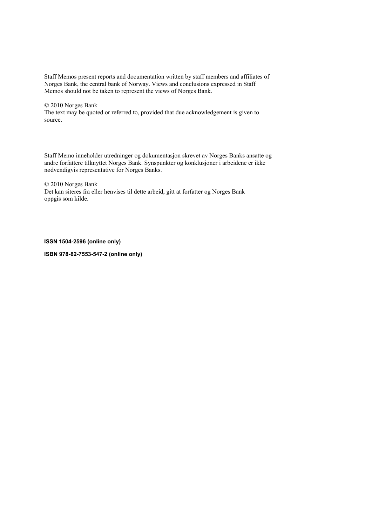Staff Memos present reports and documentation written by staff members and affiliates of Norges Bank, the central bank of Norway. Views and conclusions expressed in Staff Memos should not be taken to represent the views of Norges Bank.

#### © 2010 Norges Bank

The text may be quoted or referred to, provided that due acknowledgement is given to source.

Staff Memo inneholder utredninger og dokumentasjon skrevet av Norges Banks ansatte og andre forfattere tilknyttet Norges Bank. Synspunkter og konklusjoner i arbeidene er ikke nødvendigvis representative for Norges Banks.

© 2010 Norges Bank Det kan siteres fra eller henvises til dette arbeid, gitt at forfatter og Norges Bank oppgis som kilde.

#### **ISSN 1504-2596 (online only)**

**ISBN 978-82-7553-547-2 (online only)**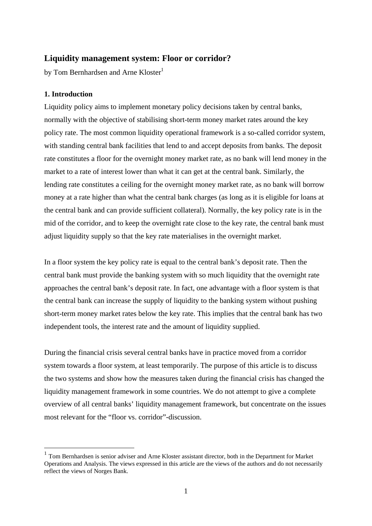# **Liquidity management system: Floor or corridor?**

by Tom Bernhardsen and Arne Kloster<sup>1</sup>

# **1. Introduction**

1

Liquidity policy aims to implement monetary policy decisions taken by central banks, normally with the objective of stabilising short-term money market rates around the key policy rate. The most common liquidity operational framework is a so-called corridor system, with standing central bank facilities that lend to and accept deposits from banks. The deposit rate constitutes a floor for the overnight money market rate, as no bank will lend money in the market to a rate of interest lower than what it can get at the central bank. Similarly, the lending rate constitutes a ceiling for the overnight money market rate, as no bank will borrow money at a rate higher than what the central bank charges (as long as it is eligible for loans at the central bank and can provide sufficient collateral). Normally, the key policy rate is in the mid of the corridor, and to keep the overnight rate close to the key rate, the central bank must adjust liquidity supply so that the key rate materialises in the overnight market.

In a floor system the key policy rate is equal to the central bank's deposit rate. Then the central bank must provide the banking system with so much liquidity that the overnight rate approaches the central bank's deposit rate. In fact, one advantage with a floor system is that the central bank can increase the supply of liquidity to the banking system without pushing short-term money market rates below the key rate. This implies that the central bank has two independent tools, the interest rate and the amount of liquidity supplied.

During the financial crisis several central banks have in practice moved from a corridor system towards a floor system, at least temporarily. The purpose of this article is to discuss the two systems and show how the measures taken during the financial crisis has changed the liquidity management framework in some countries. We do not attempt to give a complete overview of all central banks' liquidity management framework, but concentrate on the issues most relevant for the "floor vs. corridor"-discussion.

<sup>&</sup>lt;sup>1</sup> Tom Bernhardsen is senior adviser and Arne Kloster assistant director, both in the Department for Market Operations and Analysis. The views expressed in this article are the views of the authors and do not necessarily reflect the views of Norges Bank.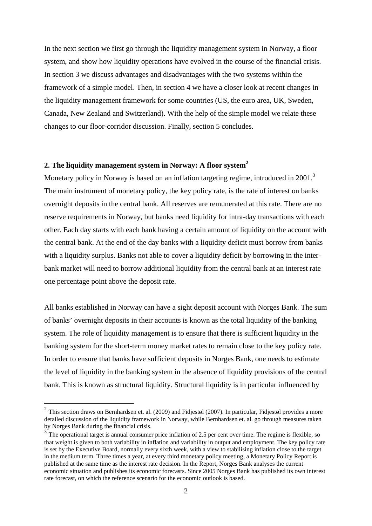In the next section we first go through the liquidity management system in Norway, a floor system, and show how liquidity operations have evolved in the course of the financial crisis. In section 3 we discuss advantages and disadvantages with the two systems within the framework of a simple model. Then, in section 4 we have a closer look at recent changes in the liquidity management framework for some countries (US, the euro area, UK, Sweden, Canada, New Zealand and Switzerland). With the help of the simple model we relate these changes to our floor-corridor discussion. Finally, section 5 concludes.

# **2. The liquidity management system in Norway: A floor system**<sup>2</sup>

Monetary policy in Norway is based on an inflation targeting regime, introduced in 2001.<sup>3</sup> The main instrument of monetary policy, the key policy rate, is the rate of interest on banks overnight deposits in the central bank. All reserves are remunerated at this rate. There are no reserve requirements in Norway, but banks need liquidity for intra-day transactions with each other. Each day starts with each bank having a certain amount of liquidity on the account with the central bank. At the end of the day banks with a liquidity deficit must borrow from banks with a liquidity surplus. Banks not able to cover a liquidity deficit by borrowing in the interbank market will need to borrow additional liquidity from the central bank at an interest rate one percentage point above the deposit rate.

All banks established in Norway can have a sight deposit account with Norges Bank. The sum of banks' overnight deposits in their accounts is known as the total liquidity of the banking system. The role of liquidity management is to ensure that there is sufficient liquidity in the banking system for the short-term money market rates to remain close to the key policy rate. In order to ensure that banks have sufficient deposits in Norges Bank, one needs to estimate the level of liquidity in the banking system in the absence of liquidity provisions of the central bank. This is known as structural liquidity. Structural liquidity is in particular influenced by

 $2$  This section draws on Bernhardsen et. al. (2009) and Fidjestøl (2007). In particular, Fidjestøl provides a more detailed discussion of the liquidity framework in Norway, while Bernhardsen et. al. go through measures taken by Norges Bank during the financial crisis.<br><sup>3</sup> The operational target is annual consumer price inflation of 2.5 per cent over time. The regime is flexible, so

that weight is given to both variability in inflation and variability in output and employment. The key policy rate is set by the Executive Board, normally every sixth week, with a view to stabilising inflation close to the target in the medium term. Three times a year, at every third monetary policy meeting, a Monetary Policy Report is published at the same time as the interest rate decision. In the Report, Norges Bank analyses the current economic situation and publishes its economic forecasts. Since 2005 Norges Bank has published its own interest rate forecast, on which the reference scenario for the economic outlook is based.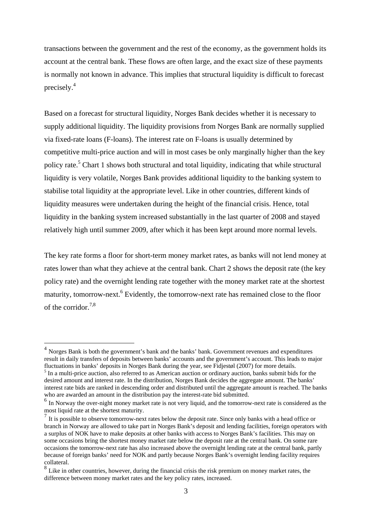transactions between the government and the rest of the economy, as the government holds its account at the central bank. These flows are often large, and the exact size of these payments is normally not known in advance. This implies that structural liquidity is difficult to forecast precisely.<sup>4</sup>

Based on a forecast for structural liquidity, Norges Bank decides whether it is necessary to supply additional liquidity. The liquidity provisions from Norges Bank are normally supplied via fixed-rate loans (F-loans). The interest rate on F-loans is usually determined by competitive multi-price auction and will in most cases be only marginally higher than the key policy rate.<sup>5</sup> Chart 1 shows both structural and total liquidity, indicating that while structural liquidity is very volatile, Norges Bank provides additional liquidity to the banking system to stabilise total liquidity at the appropriate level. Like in other countries, different kinds of liquidity measures were undertaken during the height of the financial crisis. Hence, total liquidity in the banking system increased substantially in the last quarter of 2008 and stayed relatively high until summer 2009, after which it has been kept around more normal levels.

The key rate forms a floor for short-term money market rates, as banks will not lend money at rates lower than what they achieve at the central bank. Chart 2 shows the deposit rate (the key policy rate) and the overnight lending rate together with the money market rate at the shortest maturity, tomorrow-next.<sup>6</sup> Evidently, the tomorrow-next rate has remained close to the floor of the corridor  $^{7,8}$ 

<u>.</u>

<sup>&</sup>lt;sup>4</sup> Norges Bank is both the government's bank and the banks' bank. Government revenues and expenditures result in daily transfers of deposits between banks' accounts and the government's account. This leads to major fluctuations in banks' deposits in Norges Bank during the year, see Fidjestøl (2007) for more details.

 $<sup>5</sup>$  In a multi-price auction, also referred to as American auction or ordinary auction, banks submit bids for the</sup> desired amount and interest rate. In the distribution, Norges Bank decides the aggregate amount. The banks' interest rate bids are ranked in descending order and distributed until the aggregate amount is reached. The banks who are awarded an amount in the distribution pay the interest-rate bid submitted.

 $<sup>6</sup>$  In Norway the over-night money market rate is not very liquid, and the tomorrow-next rate is considered as the most liquid rate at the shortest maturity.</sup>

 $\frac{7}{1}$  It is possible to observe tomorrow-next rates below the deposit rate. Since only banks with a head office or branch in Norway are allowed to take part in Norges Bank's deposit and lending facilities, foreign operators with a surplus of NOK have to make deposits at other banks with access to Norges Bank's facilities. This may on some occasions bring the shortest money market rate below the deposit rate at the central bank. On some rare occasions the tomorrow-next rate has also increased above the overnight lending rate at the central bank, partly because of foreign banks' need for NOK and partly because Norges Bank's overnight lending facility requires collateral.

<sup>&</sup>lt;sup>8</sup> Like in other countries, however, during the financial crisis the risk premium on money market rates, the difference between money market rates and the key policy rates, increased.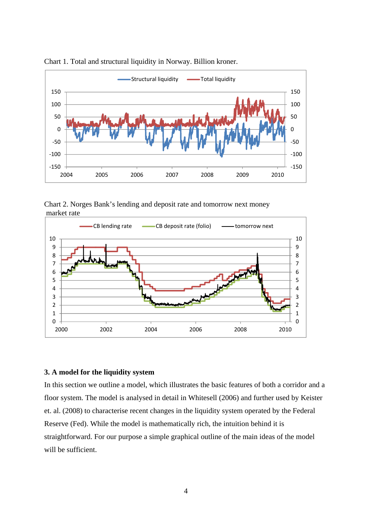

Chart 1. Total and structural liquidity in Norway. Billion kroner.

Chart 2. Norges Bank's lending and deposit rate and tomorrow next money market rate



# **3. A model for the liquidity system**

In this section we outline a model, which illustrates the basic features of both a corridor and a floor system. The model is analysed in detail in Whitesell (2006) and further used by Keister et. al. (2008) to characterise recent changes in the liquidity system operated by the Federal Reserve (Fed). While the model is mathematically rich, the intuition behind it is straightforward. For our purpose a simple graphical outline of the main ideas of the model will be sufficient.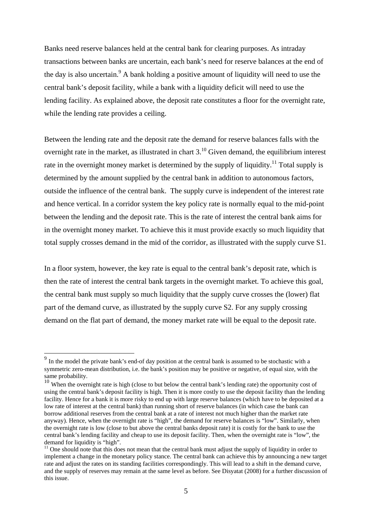Banks need reserve balances held at the central bank for clearing purposes. As intraday transactions between banks are uncertain, each bank's need for reserve balances at the end of the day is also uncertain.<sup>9</sup> A bank holding a positive amount of liquidity will need to use the central bank's deposit facility, while a bank with a liquidity deficit will need to use the lending facility. As explained above, the deposit rate constitutes a floor for the overnight rate, while the lending rate provides a ceiling.

Between the lending rate and the deposit rate the demand for reserve balances falls with the overnight rate in the market, as illustrated in chart  $3<sup>10</sup>$  Given demand, the equilibrium interest rate in the overnight money market is determined by the supply of liquidity.<sup>11</sup> Total supply is determined by the amount supplied by the central bank in addition to autonomous factors, outside the influence of the central bank. The supply curve is independent of the interest rate and hence vertical. In a corridor system the key policy rate is normally equal to the mid-point between the lending and the deposit rate. This is the rate of interest the central bank aims for in the overnight money market. To achieve this it must provide exactly so much liquidity that total supply crosses demand in the mid of the corridor, as illustrated with the supply curve S1.

In a floor system, however, the key rate is equal to the central bank's deposit rate, which is then the rate of interest the central bank targets in the overnight market. To achieve this goal, the central bank must supply so much liquidity that the supply curve crosses the (lower) flat part of the demand curve, as illustrated by the supply curve S2. For any supply crossing demand on the flat part of demand, the money market rate will be equal to the deposit rate.

<sup>&</sup>lt;sup>9</sup> In the model the private bank's end-of day position at the central bank is assumed to be stochastic with a symmetric zero-mean distribution, i.e. the bank's position may be positive or negative, of equal size, with the

same probability.<br><sup>10</sup> When the overnight rate is high (close to but below the central bank's lending rate) the opportunity cost of using the central bank's deposit facility is high. Then it is more costly to use the deposit facility than the lending facility. Hence for a bank it is more risky to end up with large reserve balances (which have to be deposited at a low rate of interest at the central bank) than running short of reserve balances (in which case the bank can borrow additional reserves from the central bank at a rate of interest not much higher than the market rate anyway). Hence, when the overnight rate is "high", the demand for reserve balances is "low". Similarly, when the overnight rate is low (close to but above the central banks deposit rate) it is costly for the bank to use the central bank's lending facility and cheap to use its deposit facility. Then, when the overnight rate is "low", the demand for liquidity is "high".

 $11$  One should note that this does not mean that the central bank must adjust the supply of liquidity in order to implement a change in the monetary policy stance. The central bank can achieve this by announcing a new target rate and adjust the rates on its standing facilities correspondingly. This will lead to a shift in the demand curve, and the supply of reserves may remain at the same level as before. See Disyatat (2008) for a further discussion of this issue.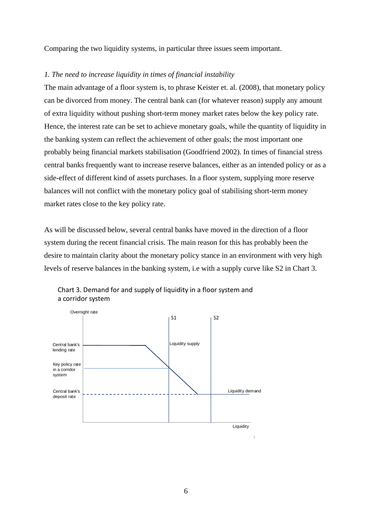Comparing the two liquidity systems, in particular three issues seem important.

## *1. The need to increase liquidity in times of financial instability*

The main advantage of a floor system is, to phrase Keister et. al. (2008), that monetary policy can be divorced from money. The central bank can (for whatever reason) supply any amount of extra liquidity without pushing short-term money market rates below the key policy rate. Hence, the interest rate can be set to achieve monetary goals, while the quantity of liquidity in the banking system can reflect the achievement of other goals; the most important one probably being financial markets stabilisation (Goodfriend 2002). In times of financial stress central banks frequently want to increase reserve balances, either as an intended policy or as a side-effect of different kind of assets purchases. In a floor system, supplying more reserve balances will not conflict with the monetary policy goal of stabilising short-term money market rates close to the key policy rate.

As will be discussed below, several central banks have moved in the direction of a floor system during the recent financial crisis. The main reason for this has probably been the desire to maintain clarity about the monetary policy stance in an environment with very high levels of reserve balances in the banking system, i.e with a supply curve like S2 in Chart 3.



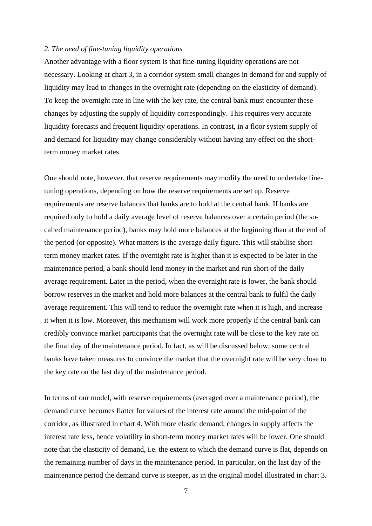### *2. The need of fine-tuning liquidity operations*

Another advantage with a floor system is that fine-tuning liquidity operations are not necessary. Looking at chart 3, in a corridor system small changes in demand for and supply of liquidity may lead to changes in the overnight rate (depending on the elasticity of demand). To keep the overnight rate in line with the key rate, the central bank must encounter these changes by adjusting the supply of liquidity correspondingly. This requires very accurate liquidity forecasts and frequent liquidity operations. In contrast, in a floor system supply of and demand for liquidity may change considerably without having any effect on the shortterm money market rates.

One should note, however, that reserve requirements may modify the need to undertake finetuning operations, depending on how the reserve requirements are set up. Reserve requirements are reserve balances that banks are to hold at the central bank. If banks are required only to hold a daily average level of reserve balances over a certain period (the socalled maintenance period), banks may hold more balances at the beginning than at the end of the period (or opposite). What matters is the average daily figure. This will stabilise shortterm money market rates. If the overnight rate is higher than it is expected to be later in the maintenance period, a bank should lend money in the market and run short of the daily average requirement. Later in the period, when the overnight rate is lower, the bank should borrow reserves in the market and hold more balances at the central bank to fulfil the daily average requirement. This will tend to reduce the overnight rate when it is high, and increase it when it is low. Moreover, this mechanism will work more properly if the central bank can credibly convince market participants that the overnight rate will be close to the key rate on the final day of the maintenance period. In fact, as will be discussed below, some central banks have taken measures to convince the market that the overnight rate will be very close to the key rate on the last day of the maintenance period.

In terms of our model, with reserve requirements (averaged over a maintenance period), the demand curve becomes flatter for values of the interest rate around the mid-point of the corridor, as illustrated in chart 4. With more elastic demand, changes in supply affects the interest rate less, hence volatility in short-term money market rates will be lower. One should note that the elasticity of demand, i.e. the extent to which the demand curve is flat, depends on the remaining number of days in the maintenance period. In particular, on the last day of the maintenance period the demand curve is steeper, as in the original model illustrated in chart 3.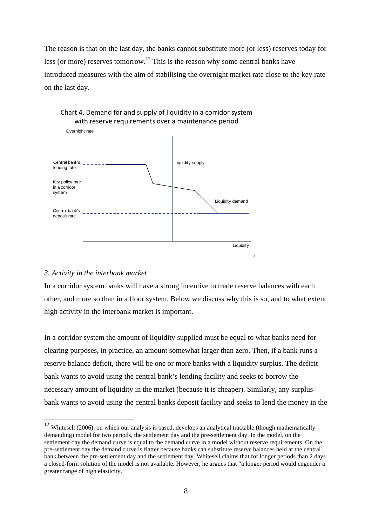The reason is that on the last day, the banks cannot substitute more (or less) reserves today for less (or more) reserves tomorrow.<sup>12</sup> This is the reason why some central banks have introduced measures with the aim of stabilising the overnight market rate close to the key rate on the last day.



# Chart 4. Demand for and supply of liquidity in a corridor system

#### *3. Activity in the interbank market*

<u>.</u>

In a corridor system banks will have a strong incentive to trade reserve balances with each other, and more so than in a floor system. Below we discuss why this is so, and to what extent high activity in the interbank market is important.

4

In a corridor system the amount of liquidity supplied must be equal to what banks need for clearing purposes, in practice, an amount somewhat larger than zero. Then, if a bank runs a reserve balance deficit, there will be one or more banks with a liquidity surplus. The deficit bank wants to avoid using the central bank's lending facility and seeks to borrow the necessary amount of liquidity in the market (because it is cheaper). Similarly, any surplus bank wants to avoid using the central banks deposit facility and seeks to lend the money in the

 $12$  Whitesell (2006), on which our analysis is based, develops an analytical tractable (though mathematically demanding) model for two periods, the settlement day and the pre-settlement day. In the model, on the settlement day the demand curve is equal to the demand curve in a model without reserve requirements. On the pre-settlement day the demand curve is flatter because banks can substitute reserve balances held at the central bank between the pre-settlement day and the settlement day. Whitesell claims that for longer periods than 2 days a closed-form solution of the model is not available. However, he argues that "a longer period would engender a greater range of high elasticity.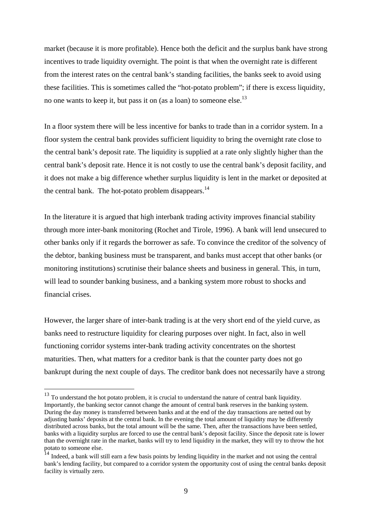market (because it is more profitable). Hence both the deficit and the surplus bank have strong incentives to trade liquidity overnight. The point is that when the overnight rate is different from the interest rates on the central bank's standing facilities, the banks seek to avoid using these facilities. This is sometimes called the "hot-potato problem"; if there is excess liquidity, no one wants to keep it, but pass it on (as a loan) to someone else.<sup>13</sup>

In a floor system there will be less incentive for banks to trade than in a corridor system. In a floor system the central bank provides sufficient liquidity to bring the overnight rate close to the central bank's deposit rate. The liquidity is supplied at a rate only slightly higher than the central bank's deposit rate. Hence it is not costly to use the central bank's deposit facility, and it does not make a big difference whether surplus liquidity is lent in the market or deposited at the central bank. The hot-potato problem disappears. $^{14}$ 

In the literature it is argued that high interbank trading activity improves financial stability through more inter-bank monitoring (Rochet and Tirole, 1996). A bank will lend unsecured to other banks only if it regards the borrower as safe. To convince the creditor of the solvency of the debtor, banking business must be transparent, and banks must accept that other banks (or monitoring institutions) scrutinise their balance sheets and business in general. This, in turn, will lead to sounder banking business, and a banking system more robust to shocks and financial crises.

However, the larger share of inter-bank trading is at the very short end of the yield curve, as banks need to restructure liquidity for clearing purposes over night. In fact, also in well functioning corridor systems inter-bank trading activity concentrates on the shortest maturities. Then, what matters for a creditor bank is that the counter party does not go bankrupt during the next couple of days. The creditor bank does not necessarily have a strong

<u>.</u>

 $13$  To understand the hot potato problem, it is crucial to understand the nature of central bank liquidity. Importantly, the banking sector cannot change the amount of central bank reserves in the banking system. During the day money is transferred between banks and at the end of the day transactions are netted out by adjusting banks' deposits at the central bank. In the evening the total amount of liquidity may be differently distributed across banks, but the total amount will be the same. Then, after the transactions have been settled, banks with a liquidity surplus are forced to use the central bank's deposit facility. Since the deposit rate is lower than the overnight rate in the market, banks will try to lend liquidity in the market, they will try to throw the hot potato to someone else.<br><sup>14</sup> Indeed, a bank will still earn a few basis points by lending liquidity in the market and not using the central

bank's lending facility, but compared to a corridor system the opportunity cost of using the central banks deposit facility is virtually zero.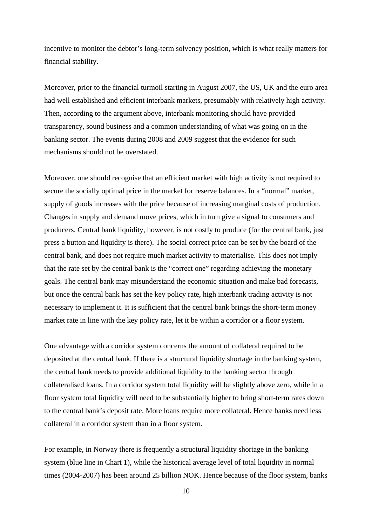incentive to monitor the debtor's long-term solvency position, which is what really matters for financial stability.

Moreover, prior to the financial turmoil starting in August 2007, the US, UK and the euro area had well established and efficient interbank markets, presumably with relatively high activity. Then, according to the argument above, interbank monitoring should have provided transparency, sound business and a common understanding of what was going on in the banking sector. The events during 2008 and 2009 suggest that the evidence for such mechanisms should not be overstated.

Moreover, one should recognise that an efficient market with high activity is not required to secure the socially optimal price in the market for reserve balances. In a "normal" market, supply of goods increases with the price because of increasing marginal costs of production. Changes in supply and demand move prices, which in turn give a signal to consumers and producers. Central bank liquidity, however, is not costly to produce (for the central bank, just press a button and liquidity is there). The social correct price can be set by the board of the central bank, and does not require much market activity to materialise. This does not imply that the rate set by the central bank is the "correct one" regarding achieving the monetary goals. The central bank may misunderstand the economic situation and make bad forecasts, but once the central bank has set the key policy rate, high interbank trading activity is not necessary to implement it. It is sufficient that the central bank brings the short-term money market rate in line with the key policy rate, let it be within a corridor or a floor system.

One advantage with a corridor system concerns the amount of collateral required to be deposited at the central bank. If there is a structural liquidity shortage in the banking system, the central bank needs to provide additional liquidity to the banking sector through collateralised loans. In a corridor system total liquidity will be slightly above zero, while in a floor system total liquidity will need to be substantially higher to bring short-term rates down to the central bank's deposit rate. More loans require more collateral. Hence banks need less collateral in a corridor system than in a floor system.

For example, in Norway there is frequently a structural liquidity shortage in the banking system (blue line in Chart 1), while the historical average level of total liquidity in normal times (2004-2007) has been around 25 billion NOK. Hence because of the floor system, banks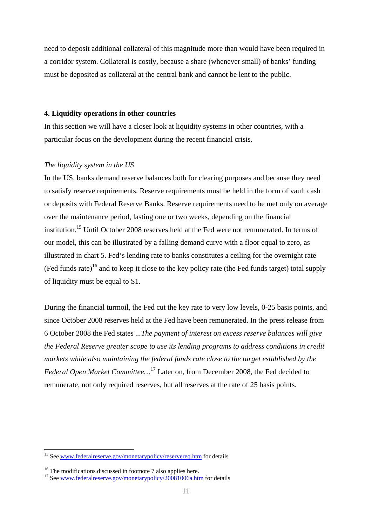need to deposit additional collateral of this magnitude more than would have been required in a corridor system. Collateral is costly, because a share (whenever small) of banks' funding must be deposited as collateral at the central bank and cannot be lent to the public.

# **4. Liquidity operations in other countries**

In this section we will have a closer look at liquidity systems in other countries, with a particular focus on the development during the recent financial crisis.

## *The liquidity system in the US*

In the US, banks demand reserve balances both for clearing purposes and because they need to satisfy reserve requirements. Reserve requirements must be held in the form of vault cash or deposits with Federal Reserve Banks. Reserve requirements need to be met only on average over the maintenance period, lasting one or two weeks, depending on the financial institution.<sup>15</sup> Until October 2008 reserves held at the Fed were not remunerated. In terms of our model, this can be illustrated by a falling demand curve with a floor equal to zero, as illustrated in chart 5. Fed's lending rate to banks constitutes a ceiling for the overnight rate  $(Fed funds rate)<sup>16</sup>$  and to keep it close to the key policy rate (the Fed funds target) total supply of liquidity must be equal to S1.

During the financial turmoil, the Fed cut the key rate to very low levels, 0-25 basis points, and since October 2008 reserves held at the Fed have been remunerated. In the press release from 6 October 2008 the Fed states *...The payment of interest on excess reserve balances will give the Federal Reserve greater scope to use its lending programs to address conditions in credit markets while also maintaining the federal funds rate close to the target established by the Federal Open Market Committee…*<sup>17</sup> Later on, from December 2008, the Fed decided to remunerate, not only required reserves, but all reserves at the rate of 25 basis points.

<sup>&</sup>lt;sup>15</sup> See www.federalreserve.gov/monetarypolicy/reservereq.htm for details

<sup>&</sup>lt;sup>16</sup> The modifications discussed in footnote 7 also applies here.

<sup>&</sup>lt;sup>17</sup> See www.federalreserve.gov/monetarypolicy/20081006a.htm for details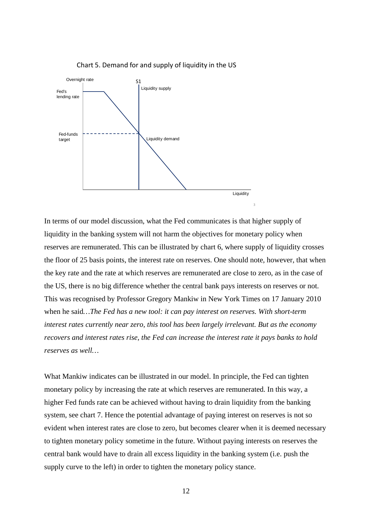

Chart 5. Demand for and supply of liquidity in the US

In terms of our model discussion, what the Fed communicates is that higher supply of liquidity in the banking system will not harm the objectives for monetary policy when reserves are remunerated. This can be illustrated by chart 6, where supply of liquidity crosses the floor of 25 basis points, the interest rate on reserves. One should note, however, that when the key rate and the rate at which reserves are remunerated are close to zero, as in the case of the US, there is no big difference whether the central bank pays interests on reserves or not. This was recognised by Professor Gregory Mankiw in New York Times on 17 January 2010 when he said*…The Fed has a new tool: it can pay interest on reserves. With short-term interest rates currently near zero, this tool has been largely irrelevant. But as the economy recovers and interest rates rise, the Fed can increase the interest rate it pays banks to hold reserves as well…*

What Mankiw indicates can be illustrated in our model. In principle, the Fed can tighten monetary policy by increasing the rate at which reserves are remunerated. In this way, a higher Fed funds rate can be achieved without having to drain liquidity from the banking system, see chart 7. Hence the potential advantage of paying interest on reserves is not so evident when interest rates are close to zero, but becomes clearer when it is deemed necessary to tighten monetary policy sometime in the future. Without paying interests on reserves the central bank would have to drain all excess liquidity in the banking system (i.e. push the supply curve to the left) in order to tighten the monetary policy stance.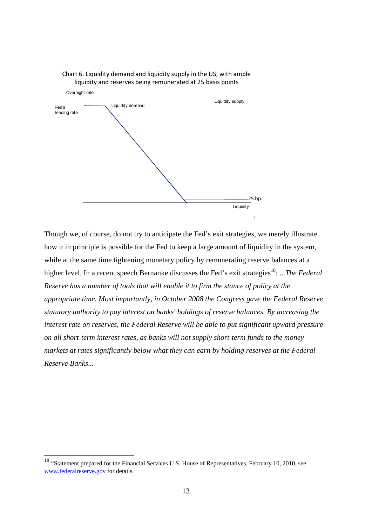



Though we, of course, do not try to anticipate the Fed's exit strategies, we merely illustrate how it in principle is possible for the Fed to keep a large amount of liquidity in the system, while at the same time tightening monetary policy by remunerating reserve balances at a higher level. In a recent speech Bernanke discusses the Fed's exit strategies<sup>18</sup>: ...The Federal *Reserve has a number of tools that will enable it to firm the stance of policy at the appropriate time. Most importantly, in October 2008 the Congress gave the Federal Reserve statutory authority to pay interest on banks' holdings of reserve balances. By increasing the interest rate on reserves, the Federal Reserve will be able to put significant upward pressure on all short-term interest rates, as banks will not supply short-term funds to the money markets at rates significantly below what they can earn by holding reserves at the Federal Reserve Banks...*

<sup>&</sup>lt;sup>18</sup> "Statement prepared for the Financial Services U.S. House of Representatives, February 10, 2010, see www.federalreserve.gov for details.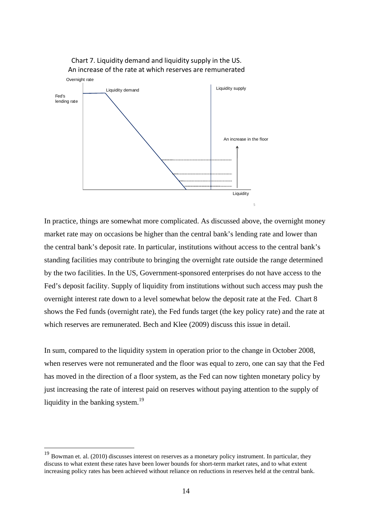

Chart 7. Liquidity demand and liquidity supply in the US. An increase of the rate at which reserves are remunerated

In practice, things are somewhat more complicated. As discussed above, the overnight money market rate may on occasions be higher than the central bank's lending rate and lower than the central bank's deposit rate. In particular, institutions without access to the central bank's standing facilities may contribute to bringing the overnight rate outside the range determined by the two facilities. In the US, Government-sponsored enterprises do not have access to the Fed's deposit facility. Supply of liquidity from institutions without such access may push the overnight interest rate down to a level somewhat below the deposit rate at the Fed. Chart 8 shows the Fed funds (overnight rate), the Fed funds target (the key policy rate) and the rate at which reserves are remunerated. Bech and Klee (2009) discuss this issue in detail.

In sum, compared to the liquidity system in operation prior to the change in October 2008, when reserves were not remunerated and the floor was equal to zero, one can say that the Fed has moved in the direction of a floor system, as the Fed can now tighten monetary policy by just increasing the rate of interest paid on reserves without paying attention to the supply of liquidity in the banking system. $^{19}$ 

 $19$  Bowman et. al. (2010) discusses interest on reserves as a monetary policy instrument. In particular, they discuss to what extent these rates have been lower bounds for short-term market rates, and to what extent increasing policy rates has been achieved without reliance on reductions in reserves held at the central bank.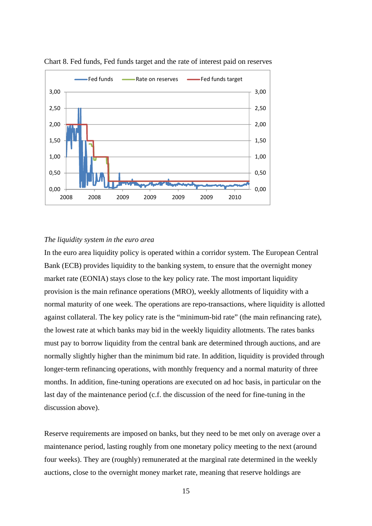

Chart 8. Fed funds, Fed funds target and the rate of interest paid on reserves

### *The liquidity system in the euro area*

In the euro area liquidity policy is operated within a corridor system. The European Central Bank (ECB) provides liquidity to the banking system, to ensure that the overnight money market rate (EONIA) stays close to the key policy rate. The most important liquidity provision is the main refinance operations (MRO), weekly allotments of liquidity with a normal maturity of one week. The operations are repo-transactions, where liquidity is allotted against collateral. The key policy rate is the "minimum-bid rate" (the main refinancing rate), the lowest rate at which banks may bid in the weekly liquidity allotments. The rates banks must pay to borrow liquidity from the central bank are determined through auctions, and are normally slightly higher than the minimum bid rate. In addition, liquidity is provided through longer-term refinancing operations, with monthly frequency and a normal maturity of three months. In addition, fine-tuning operations are executed on ad hoc basis, in particular on the last day of the maintenance period (c.f. the discussion of the need for fine-tuning in the discussion above).

Reserve requirements are imposed on banks, but they need to be met only on average over a maintenance period, lasting roughly from one monetary policy meeting to the next (around four weeks). They are (roughly) remunerated at the marginal rate determined in the weekly auctions, close to the overnight money market rate, meaning that reserve holdings are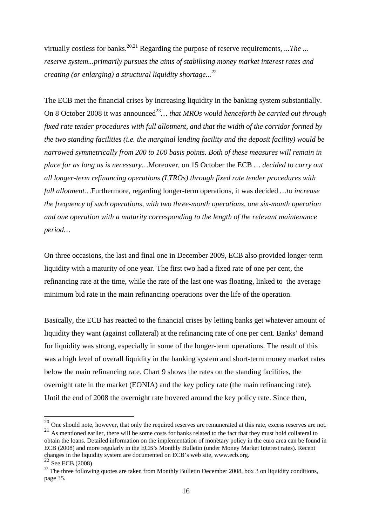virtually costless for banks.<sup>20,21</sup> Regarding the purpose of reserve requirements, ... The ... *reserve system...primarily pursues the aims of stabilising money market interest rates and creating (or enlarging) a structural liquidity shortage...<sup>22</sup>*

The ECB met the financial crises by increasing liquidity in the banking system substantially. On 8 October 2008 it was announced<sup>23</sup>... *that MROs would henceforth be carried out through fixed rate tender procedures with full allotment, and that the width of the corridor formed by the two standing facilities (i.e. the marginal lending facility and the deposit facility) would be narrowed symmetrically from 200 to 100 basis points. Both of these measures will remain in place for as long as is necessary…*Moreover, on 15 October the ECB *… decided to carry out all longer-term refinancing operations (LTROs) through fixed rate tender procedures with full allotment…*Furthermore, regarding longer-term operations, it was decided *…to increase the frequency of such operations, with two three-month operations, one six-month operation and one operation with a maturity corresponding to the length of the relevant maintenance period…*

On three occasions, the last and final one in December 2009, ECB also provided longer-term liquidity with a maturity of one year. The first two had a fixed rate of one per cent, the refinancing rate at the time, while the rate of the last one was floating, linked to the average minimum bid rate in the main refinancing operations over the life of the operation.

Basically, the ECB has reacted to the financial crises by letting banks get whatever amount of liquidity they want (against collateral) at the refinancing rate of one per cent. Banks' demand for liquidity was strong, especially in some of the longer-term operations. The result of this was a high level of overall liquidity in the banking system and short-term money market rates below the main refinancing rate. Chart 9 shows the rates on the standing facilities, the overnight rate in the market (EONIA) and the key policy rate (the main refinancing rate). Until the end of 2008 the overnight rate hovered around the key policy rate. Since then,

 $^{20}$  One should note, however, that only the required reserves are remunerated at this rate, excess reserves are not.

<sup>&</sup>lt;sup>21</sup> As mentioned earlier, there will be some costs for banks related to the fact that they must hold collateral to obtain the loans. Detailed information on the implementation of monetary policy in the euro area can be found in ECB (2008) and more regularly in the ECB's Monthly Bulletin (under Money Market Interest rates). Recent changes in the liquidity system are documented on ECB's web site, www.ecb.org.<br><sup>22</sup> See ECB (2008).

 $^{23}$  The three following quotes are taken from Monthly Bulletin December 2008, box 3 on liquidity conditions, page 35.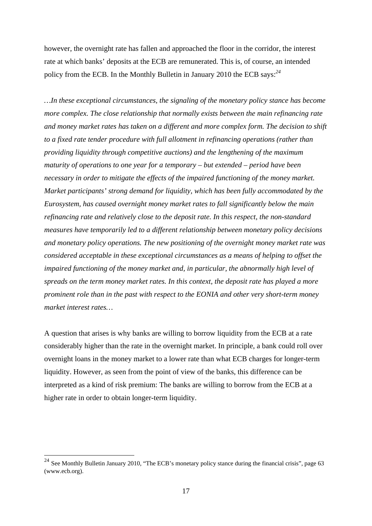however, the overnight rate has fallen and approached the floor in the corridor, the interest rate at which banks' deposits at the ECB are remunerated. This is, of course, an intended policy from the ECB. In the Monthly Bulletin in January 2010 the ECB says:*<sup>24</sup>*

*…In these exceptional circumstances, the signaling of the monetary policy stance has become more complex. The close relationship that normally exists between the main refinancing rate and money market rates has taken on a different and more complex form. The decision to shift to a fixed rate tender procedure with full allotment in refinancing operations (rather than providing liquidity through competitive auctions) and the lengthening of the maximum maturity of operations to one year for a temporary – but extended – period have been necessary in order to mitigate the effects of the impaired functioning of the money market. Market participants' strong demand for liquidity, which has been fully accommodated by the Eurosystem, has caused overnight money market rates to fall significantly below the main refinancing rate and relatively close to the deposit rate. In this respect, the non-standard measures have temporarily led to a different relationship between monetary policy decisions and monetary policy operations. The new positioning of the overnight money market rate was considered acceptable in these exceptional circumstances as a means of helping to offset the impaired functioning of the money market and, in particular, the abnormally high level of spreads on the term money market rates. In this context, the deposit rate has played a more prominent role than in the past with respect to the EONIA and other very short-term money market interest rates…* 

A question that arises is why banks are willing to borrow liquidity from the ECB at a rate considerably higher than the rate in the overnight market. In principle, a bank could roll over overnight loans in the money market to a lower rate than what ECB charges for longer-term liquidity. However, as seen from the point of view of the banks, this difference can be interpreted as a kind of risk premium: The banks are willing to borrow from the ECB at a higher rate in order to obtain longer-term liquidity.

<sup>&</sup>lt;sup>24</sup> See Monthly Bulletin January 2010, "The ECB's monetary policy stance during the financial crisis", page 63 (www.ecb.org).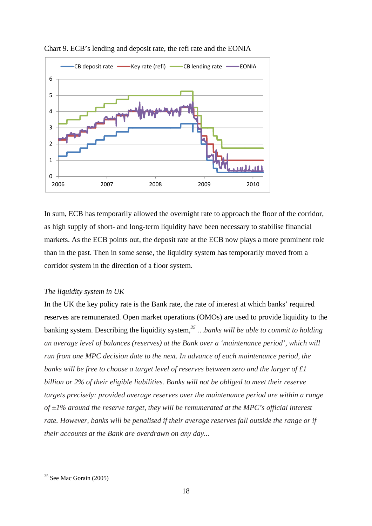

Chart 9. ECB's lending and deposit rate, the refi rate and the EONIA

In sum, ECB has temporarily allowed the overnight rate to approach the floor of the corridor, as high supply of short- and long-term liquidity have been necessary to stabilise financial markets. As the ECB points out, the deposit rate at the ECB now plays a more prominent role than in the past. Then in some sense, the liquidity system has temporarily moved from a corridor system in the direction of a floor system.

# *The liquidity system in UK*

In the UK the key policy rate is the Bank rate, the rate of interest at which banks' required reserves are remunerated. Open market operations (OMOs) are used to provide liquidity to the banking system. Describing the liquidity system,*<sup>25</sup> …banks will be able to commit to holding an average level of balances (reserves) at the Bank over a 'maintenance period', which will run from one MPC decision date to the next. In advance of each maintenance period, the banks will be free to choose a target level of reserves between zero and the larger of £1 billion or 2% of their eligible liabilities. Banks will not be obliged to meet their reserve targets precisely: provided average reserves over the maintenance period are within a range of ±1% around the reserve target, they will be remunerated at the MPC's official interest rate. However, banks will be penalised if their average reserves fall outside the range or if their accounts at the Bank are overdrawn on any day...* 

 $25$  See Mac Gorain (2005)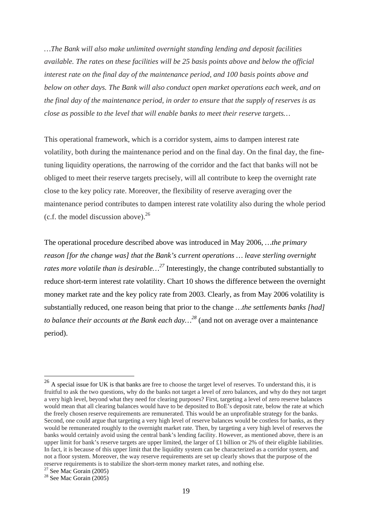*…The Bank will also make unlimited overnight standing lending and deposit facilities available. The rates on these facilities will be 25 basis points above and below the official interest rate on the final day of the maintenance period, and 100 basis points above and below on other days. The Bank will also conduct open market operations each week, and on the final day of the maintenance period, in order to ensure that the supply of reserves is as close as possible to the level that will enable banks to meet their reserve targets…* 

This operational framework, which is a corridor system, aims to dampen interest rate volatility, both during the maintenance period and on the final day. On the final day, the finetuning liquidity operations, the narrowing of the corridor and the fact that banks will not be obliged to meet their reserve targets precisely, will all contribute to keep the overnight rate close to the key policy rate. Moreover, the flexibility of reserve averaging over the maintenance period contributes to dampen interest rate volatility also during the whole period (c.f. the model discussion above). $^{26}$ 

The operational procedure described above was introduced in May 2006, *…the primary reason [for the change was] that the Bank's current operations … leave sterling overnight rates more volatile than is desirable…<sup>27</sup>* Interestingly, the change contributed substantially to reduce short-term interest rate volatility. Chart 10 shows the difference between the overnight money market rate and the key policy rate from 2003. Clearly, as from May 2006 volatility is substantially reduced, one reason being that prior to the change *…the settlements banks [had] to balance their accounts at the Bank each day…28* (and not on average over a maintenance period).

<u>.</u>

 $^{26}$  A special issue for UK is that banks are free to choose the target level of reserves. To understand this, it is fruitful to ask the two questions, why do the banks not target a level of zero balances, and why do they not target a very high level, beyond what they need for clearing purposes? First, targeting a level of zero reserve balances would mean that all clearing balances would have to be deposited to BoE's deposit rate, below the rate at which the freely chosen reserve requirements are remunerated. This would be an unprofitable strategy for the banks. Second, one could argue that targeting a very high level of reserve balances would be costless for banks, as they would be remunerated roughly to the overnight market rate. Then, by targeting a very high level of reserves the banks would certainly avoid using the central bank's lending facility. However, as mentioned above, there is an upper limit for bank's reserve targets are upper limited, the larger of  $£1$  billion or 2% of their eligible liabilities. In fact, it is because of this upper limit that the liquidity system can be characterized as a corridor system, and not a floor system. Moreover, the way reserve requirements are set up clearly shows that the purpose of the reserve requirements is to stabilize the short-term money market rates, and nothing else.

 $27$  See Mac Gorain (2005)

 $28$  See Mac Gorain (2005)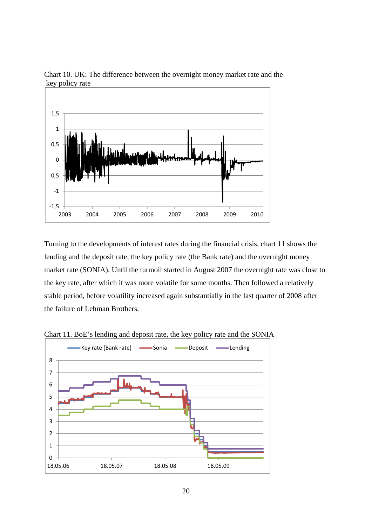

Chart 10. UK: The difference between the overnight money market rate and the key policy rate

Turning to the developments of interest rates during the financial crisis, chart 11 shows the lending and the deposit rate, the key policy rate (the Bank rate) and the overnight money market rate (SONIA). Until the turmoil started in August 2007 the overnight rate was close to the key rate, after which it was more volatile for some months. Then followed a relatively stable period, before volatility increased again substantially in the last quarter of 2008 after the failure of Lehman Brothers.



Chart 11. BoE's lending and deposit rate, the key policy rate and the SONIA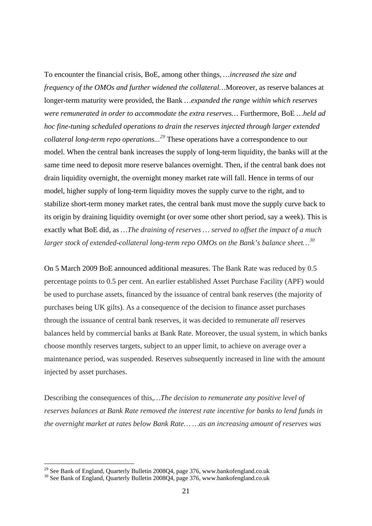To encounter the financial crisis, BoE, among other things, *…increased the size and frequency of the OMOs and further widened the collateral…*Moreover, as reserve balances at longer-term maturity were provided, the Bank *…expanded the range within which reserves were remunerated in order to accommodate the extra reserves…* Furthermore, BoE *…held ad hoc fine-tuning scheduled operations to drain the reserves injected through larger extended collateral long-term repo operations...29* These operations have a correspondence to our model. When the central bank increases the supply of long-term liquidity, the banks will at the same time need to deposit more reserve balances overnight. Then, if the central bank does not drain liquidity overnight, the overnight money market rate will fall. Hence in terms of our model, higher supply of long-term liquidity moves the supply curve to the right, and to stabilize short-term money market rates, the central bank must move the supply curve back to its origin by draining liquidity overnight (or over some other short period, say a week). This is exactly what BoE did, as *…The draining of reserves … served to offset the impact of a much larger stock of extended-collateral long-term repo OMOs on the Bank's balance sheet…30* 

On 5 March 2009 BoE announced additional measures. The Bank Rate was reduced by 0.5 percentage points to 0.5 per cent. An earlier established Asset Purchase Facility (APF) would be used to purchase assets, financed by the issuance of central bank reserves (the majority of purchases being UK gilts). As a consequence of the decision to finance asset purchases through the issuance of central bank reserves, it was decided to remunerate *all* reserves balances held by commercial banks at Bank Rate. Moreover, the usual system, in which banks choose monthly reserves targets, subject to an upper limit, to achieve on average over a maintenance period, was suspended. Reserves subsequently increased in line with the amount injected by asset purchases.

Describing the consequences of this,*…The decision to remunerate any positive level of reserves balances at Bank Rate removed the interest rate incentive for banks to lend funds in the overnight market at rates below Bank Rate… …as an increasing amount of reserves was* 

 $^{29}$  See Bank of England, Quarterly Bulletin 2008Q4, page 376, www.bankofengland.co.uk

<sup>&</sup>lt;sup>30</sup> See Bank of England, Quarterly Bulletin 2008Q4, page 376, www.bankofengland.co.uk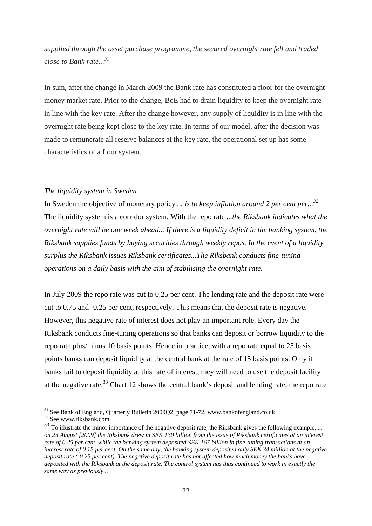*supplied through the asset purchase programme, the secured overnight rate fell and traded close to Bank rate...31*

In sum, after the change in March 2009 the Bank rate has constituted a floor for the overnight money market rate. Prior to the change, BoE had to drain liquidity to keep the overnight rate in line with the key rate. After the change however, any supply of liquidity is in line with the overnight rate being kept close to the key rate. In terms of our model, after the decision was made to remunerate all reserve balances at the key rate, the operational set up has some characteristics of a floor system.

#### *The liquidity system in Sweden*

In Sweden the objective of monetary policy *... is to keep inflation around 2 per cent per...32* The liquidity system is a corridor system. With the repo rate *...the Riksbank indicates what the overnight rate will be one week ahead... If there is a liquidity deficit in the banking system, the Riksbank supplies funds by buying securities through weekly repos. In the event of a liquidity surplus the Riksbank issues Riksbank certificates...The Riksbank conducts fine-tuning operations on a daily basis with the aim of stabilising the overnight rate.*

In July 2009 the repo rate was cut to 0.25 per cent. The lending rate and the deposit rate were cut to 0.75 and -0.25 per cent, respectively. This means that the deposit rate is negative. However, this negative rate of interest does not play an important role. Every day the Riksbank conducts fine-tuning operations so that banks can deposit or borrow liquidity to the repo rate plus/minus 10 basis points. Hence in practice, with a repo rate equal to 25 basis points banks can deposit liquidity at the central bank at the rate of 15 basis points. Only if banks fail to deposit liquidity at this rate of interest, they will need to use the deposit facility at the negative rate.<sup>33</sup> Chart 12 shows the central bank's deposit and lending rate, the repo rate

<sup>&</sup>lt;sup>31</sup> See Bank of England, Quarterly Bulletin 2009Q2, page 71-72, www.bankofengland.co.uk

<sup>32</sup> See www.riksbank.com.

<sup>&</sup>lt;sup>33</sup> To illustrate the minor importance of the negative deposit rate, the Riksbank gives the following example, ... *on 23 August [2009] the Riksbank drew in SEK 130 billion from the issue of Riksbank certificates at an interest rate of 0.25 per cent, while the banking system deposited SEK 167 billion in fine-tuning transactions at an interest rate of 0.15 per cent. On the same day, the banking system deposited only SEK 34 million at the negative deposit rate (-0.25 per cent). The negative deposit rate has not affected how much money the banks have deposited with the Riksbank at the deposit rate. The control system has thus continued to work in exactly the same way as previously...*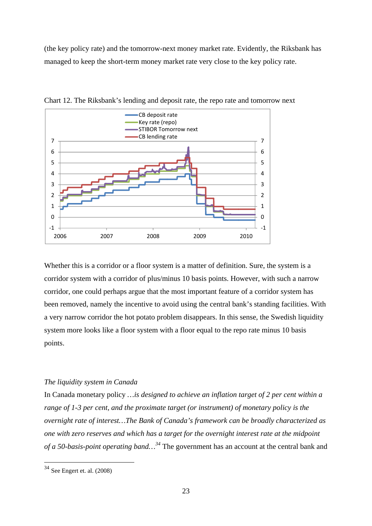(the key policy rate) and the tomorrow-next money market rate. Evidently, the Riksbank has managed to keep the short-term money market rate very close to the key policy rate.



Chart 12. The Riksbank's lending and deposit rate, the repo rate and tomorrow next

Whether this is a corridor or a floor system is a matter of definition. Sure, the system is a corridor system with a corridor of plus/minus 10 basis points. However, with such a narrow corridor, one could perhaps argue that the most important feature of a corridor system has been removed, namely the incentive to avoid using the central bank's standing facilities. With a very narrow corridor the hot potato problem disappears. In this sense, the Swedish liquidity system more looks like a floor system with a floor equal to the repo rate minus 10 basis points.

### *The liquidity system in Canada*

In Canada monetary policy *…is designed to achieve an inflation target of 2 per cent within a range of 1-3 per cent, and the proximate target (or instrument) of monetary policy is the overnight rate of interest…The Bank of Canada's framework can be broadly characterized as one with zero reserves and which has a target for the overnight interest rate at the midpoint of a 50-basis-point operating band…<sup>34</sup>* The government has an account at the central bank and

<u>.</u>

 $34$  See Engert et. al. (2008)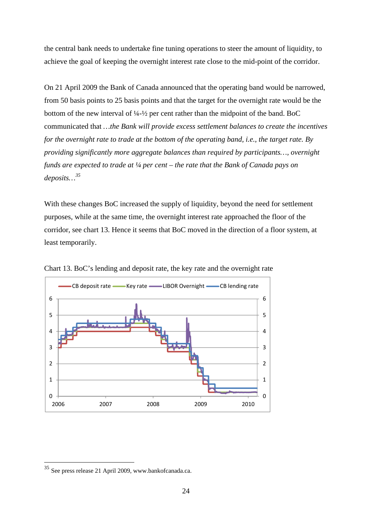the central bank needs to undertake fine tuning operations to steer the amount of liquidity, to achieve the goal of keeping the overnight interest rate close to the mid-point of the corridor.

On 21 April 2009 the Bank of Canada announced that the operating band would be narrowed, from 50 basis points to 25 basis points and that the target for the overnight rate would be the bottom of the new interval of ¼-½ per cent rather than the midpoint of the band. BoC communicated that *…the Bank will provide excess settlement balances to create the incentives for the overnight rate to trade at the bottom of the operating band, i.e., the target rate. By providing significantly more aggregate balances than required by participants…, overnight funds are expected to trade at ¼ per cent – the rate that the Bank of Canada pays on deposits…35*

With these changes BoC increased the supply of liquidity, beyond the need for settlement purposes, while at the same time, the overnight interest rate approached the floor of the corridor, see chart 13. Hence it seems that BoC moved in the direction of a floor system, at least temporarily.



Chart 13. BoC's lending and deposit rate, the key rate and the overnight rate

<u>.</u>

<sup>35</sup> See press release 21 April 2009, www.bankofcanada.ca.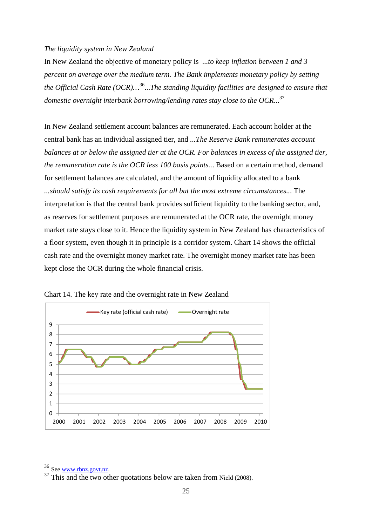#### *The liquidity system in New Zealand*

In New Zealand the objective of monetary policy is *...to keep inflation between 1 and 3 percent on average over the medium term. The Bank implements monetary policy by setting the Official Cash Rate (OCR)…*36...*The standing liquidity facilities are designed to ensure that domestic overnight interbank borrowing/lending rates stay close to the OCR...*<sup>37</sup>

In New Zealand settlement account balances are remunerated. Each account holder at the central bank has an individual assigned tier, and *...The Reserve Bank remunerates account balances at or below the assigned tier at the OCR. For balances in excess of the assigned tier, the remuneration rate is the OCR less 100 basis points..*. Based on a certain method, demand for settlement balances are calculated, and the amount of liquidity allocated to a bank *...should satisfy its cash requirements for all but the most extreme circumstances..*. The interpretation is that the central bank provides sufficient liquidity to the banking sector, and, as reserves for settlement purposes are remunerated at the OCR rate, the overnight money market rate stays close to it. Hence the liquidity system in New Zealand has characteristics of a floor system, even though it in principle is a corridor system. Chart 14 shows the official cash rate and the overnight money market rate. The overnight money market rate has been kept close the OCR during the whole financial crisis.



Chart 14. The key rate and the overnight rate in New Zealand

<sup>&</sup>lt;sup>36</sup> See <u>www.rbnz.govt.nz</u>.

 $\frac{37 \text{ This and the two other quotations below are taken from Nield (2008).}}$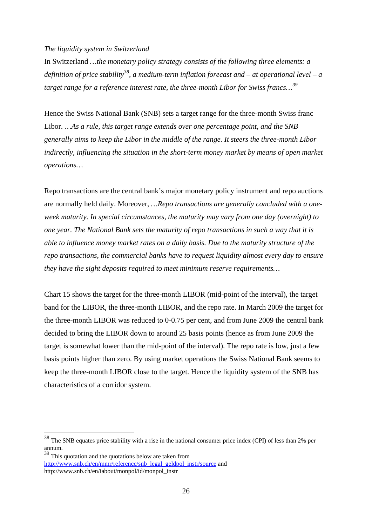# *The liquidity system in Switzerland*

In Switzerland *…the monetary policy strategy consists of the following three elements: a definition of price stability38, a medium-term inflation forecast and – at operational level – a target range for a reference interest rate, the three-month Libor for Swiss francs…39*

Hence the Swiss National Bank (SNB) sets a target range for the three-month Swiss franc Libor. *…As a rule, this target range extends over one percentage point, and the SNB generally aims to keep the Libor in the middle of the range. It steers the three-month Libor indirectly, influencing the situation in the short-term money market by means of open market operations…* 

Repo transactions are the central bank's major monetary policy instrument and repo auctions are normally held daily. Moreover, *…Repo transactions are generally concluded with a oneweek maturity. In special circumstances, the maturity may vary from one day (overnight) to one year. The National Bank sets the maturity of repo transactions in such a way that it is able to influence money market rates on a daily basis. Due to the maturity structure of the repo transactions, the commercial banks have to request liquidity almost every day to ensure they have the sight deposits required to meet minimum reserve requirements…*

Chart 15 shows the target for the three-month LIBOR (mid-point of the interval), the target band for the LIBOR, the three-month LIBOR, and the repo rate. In March 2009 the target for the three-month LIBOR was reduced to 0-0.75 per cent, and from June 2009 the central bank decided to bring the LIBOR down to around 25 basis points (hence as from June 2009 the target is somewhat lower than the mid-point of the interval). The repo rate is low, just a few basis points higher than zero. By using market operations the Swiss National Bank seems to keep the three-month LIBOR close to the target. Hence the liquidity system of the SNB has characteristics of a corridor system.

 $38$  The SNB equates price stability with a rise in the national consumer price index (CPI) of less than 2% per annum.

<sup>&</sup>lt;sup>39</sup> This quotation and the quotations below are taken from http://www.snb.ch/en/mmr/reference/snb\_legal\_geldpol\_instr/source and http://www.snb.ch/en/iabout/monpol/id/monpol\_instr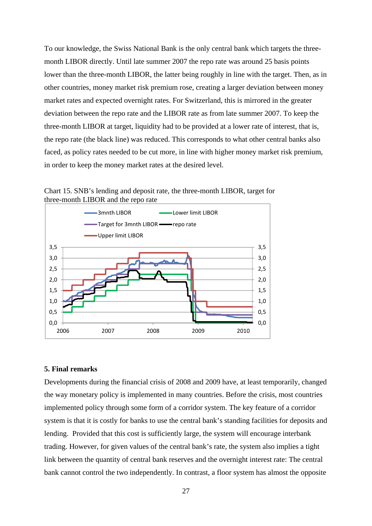To our knowledge, the Swiss National Bank is the only central bank which targets the threemonth LIBOR directly. Until late summer 2007 the repo rate was around 25 basis points lower than the three-month LIBOR, the latter being roughly in line with the target. Then, as in other countries, money market risk premium rose, creating a larger deviation between money market rates and expected overnight rates. For Switzerland, this is mirrored in the greater deviation between the repo rate and the LIBOR rate as from late summer 2007. To keep the three-month LIBOR at target, liquidity had to be provided at a lower rate of interest, that is, the repo rate (the black line) was reduced. This corresponds to what other central banks also faced, as policy rates needed to be cut more, in line with higher money market risk premium, in order to keep the money market rates at the desired level.

Chart 15. SNB's lending and deposit rate, the three-month LIBOR, target for three-month LIBOR and the repo rate



### **5. Final remarks**

Developments during the financial crisis of 2008 and 2009 have, at least temporarily, changed the way monetary policy is implemented in many countries. Before the crisis, most countries implemented policy through some form of a corridor system. The key feature of a corridor system is that it is costly for banks to use the central bank's standing facilities for deposits and lending. Provided that this cost is sufficiently large, the system will encourage interbank trading. However, for given values of the central bank's rate, the system also implies a tight link between the quantity of central bank reserves and the overnight interest rate: The central bank cannot control the two independently. In contrast, a floor system has almost the opposite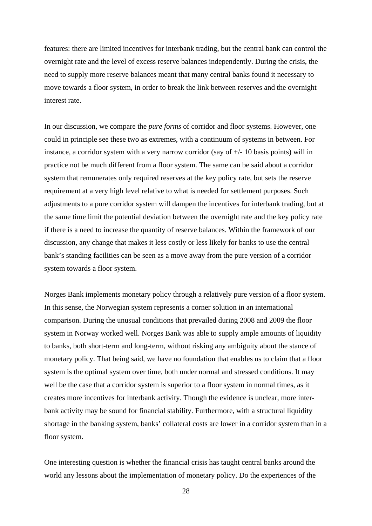features: there are limited incentives for interbank trading, but the central bank can control the overnight rate and the level of excess reserve balances independently. During the crisis, the need to supply more reserve balances meant that many central banks found it necessary to move towards a floor system, in order to break the link between reserves and the overnight interest rate.

In our discussion, we compare the *pure forms* of corridor and floor systems. However, one could in principle see these two as extremes, with a continuum of systems in between. For instance, a corridor system with a very narrow corridor (say of  $+/- 10$  basis points) will in practice not be much different from a floor system. The same can be said about a corridor system that remunerates only required reserves at the key policy rate, but sets the reserve requirement at a very high level relative to what is needed for settlement purposes. Such adjustments to a pure corridor system will dampen the incentives for interbank trading, but at the same time limit the potential deviation between the overnight rate and the key policy rate if there is a need to increase the quantity of reserve balances. Within the framework of our discussion, any change that makes it less costly or less likely for banks to use the central bank's standing facilities can be seen as a move away from the pure version of a corridor system towards a floor system.

Norges Bank implements monetary policy through a relatively pure version of a floor system. In this sense, the Norwegian system represents a corner solution in an international comparison. During the unusual conditions that prevailed during 2008 and 2009 the floor system in Norway worked well. Norges Bank was able to supply ample amounts of liquidity to banks, both short-term and long-term, without risking any ambiguity about the stance of monetary policy. That being said, we have no foundation that enables us to claim that a floor system is the optimal system over time, both under normal and stressed conditions. It may well be the case that a corridor system is superior to a floor system in normal times, as it creates more incentives for interbank activity. Though the evidence is unclear, more interbank activity may be sound for financial stability. Furthermore, with a structural liquidity shortage in the banking system, banks' collateral costs are lower in a corridor system than in a floor system.

One interesting question is whether the financial crisis has taught central banks around the world any lessons about the implementation of monetary policy. Do the experiences of the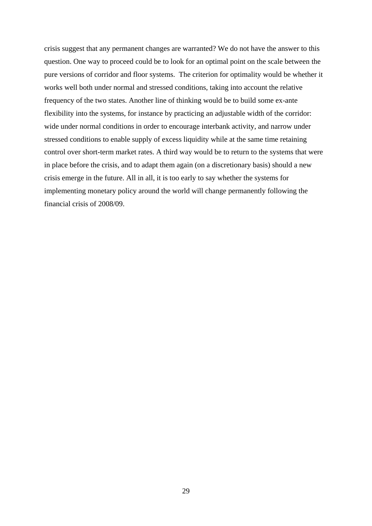crisis suggest that any permanent changes are warranted? We do not have the answer to this question. One way to proceed could be to look for an optimal point on the scale between the pure versions of corridor and floor systems. The criterion for optimality would be whether it works well both under normal and stressed conditions, taking into account the relative frequency of the two states. Another line of thinking would be to build some ex-ante flexibility into the systems, for instance by practicing an adjustable width of the corridor: wide under normal conditions in order to encourage interbank activity, and narrow under stressed conditions to enable supply of excess liquidity while at the same time retaining control over short-term market rates. A third way would be to return to the systems that were in place before the crisis, and to adapt them again (on a discretionary basis) should a new crisis emerge in the future. All in all, it is too early to say whether the systems for implementing monetary policy around the world will change permanently following the financial crisis of 2008/09.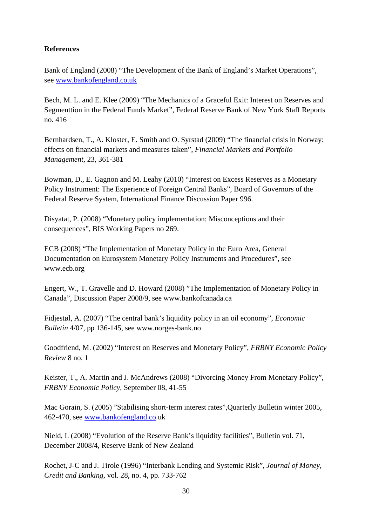# **References**

Bank of England (2008) "The Development of the Bank of England's Market Operations", see www.bankofengland.co.uk

Bech, M. L. and E. Klee (2009) "The Mechanics of a Graceful Exit: Interest on Reserves and Segmenttion in the Federal Funds Market", Federal Reserve Bank of New York Staff Reports no. 416

Bernhardsen, T., A. Kloster, E. Smith and O. Syrstad (2009) "The financial crisis in Norway: effects on financial markets and measures taken", *Financial Markets and Portfolio Management*, 23, 361-381

Bowman, D., E. Gagnon and M. Leahy (2010) "Interest on Excess Reserves as a Monetary Policy Instrument: The Experience of Foreign Central Banks", Board of Governors of the Federal Reserve System, International Finance Discussion Paper 996.

Disyatat, P. (2008) "Monetary policy implementation: Misconceptions and their consequences", BIS Working Papers no 269.

ECB (2008) "The Implementation of Monetary Policy in the Euro Area, General Documentation on Eurosystem Monetary Policy Instruments and Procedures", see www.ecb.org

Engert, W., T. Gravelle and D. Howard (2008) "The Implementation of Monetary Policy in Canada", Discussion Paper 2008/9, see www.bankofcanada.ca

Fidjestøl, A. (2007) "The central bank's liquidity policy in an oil economy", *Economic Bulletin* 4/07, pp 136-145, see www.norges-bank.no

Goodfriend, M. (2002) "Interest on Reserves and Monetary Policy", *FRBNY Economic Policy Review* 8 no. 1

Keister, T., A. Martin and J. McAndrews (2008) "Divorcing Money From Monetary Policy", *FRBNY Economic Policy*, September 08, 41-55

Mac Gorain, S. (2005) "Stabilising short-term interest rates",Quarterly Bulletin winter 2005, 462-470, see www.bankofengland.co.uk

Nield, I. (2008) "Evolution of the Reserve Bank's liquidity facilities", Bulletin vol. 71, December 2008/4, Reserve Bank of New Zealand

Rochet, J-C and J. Tirole (1996) "Interbank Lending and Systemic Risk", *Journal of Money, Credit and Banking*, vol. 28, no. 4, pp. 733-762